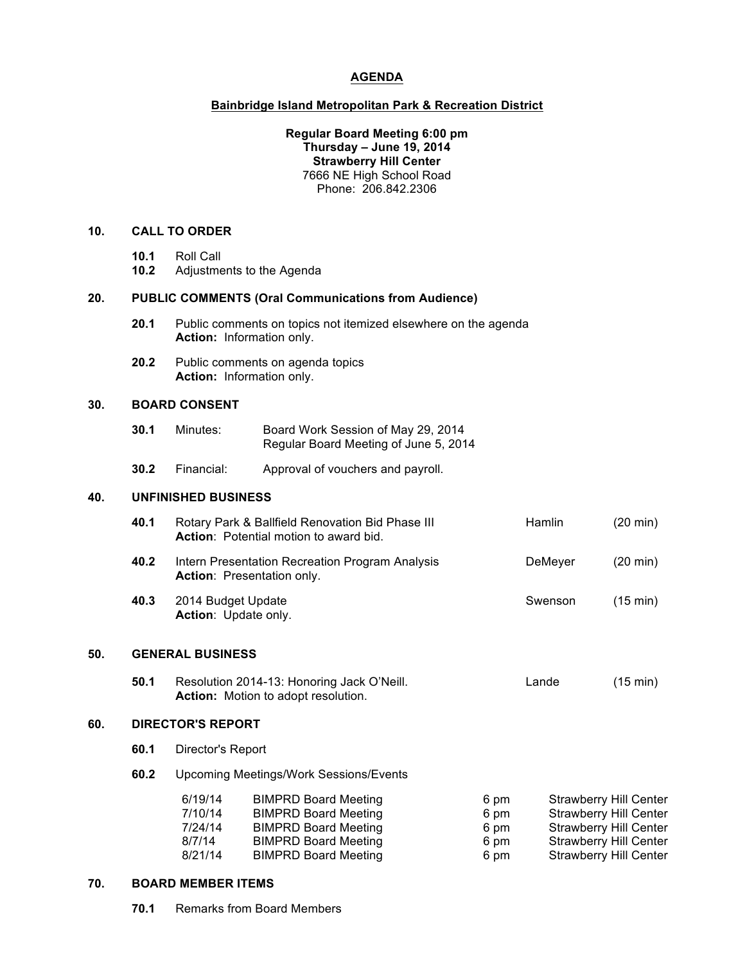# **AGENDA**

# **Bainbridge Island Metropolitan Park & Recreation District**

## **Regular Board Meeting 6:00 pm Thursday – June 19, 2014 Strawberry Hill Center** 7666 NE High School Road Phone: 206.842.2306

#### **10. CALL TO ORDER**

- **10.1** Roll Call
- **10.2** Adjustments to the Agenda

#### **20. PUBLIC COMMENTS (Oral Communications from Audience)**

- **20.1** Public comments on topics not itemized elsewhere on the agenda **Action:** Information only.
- **20.2** Public comments on agenda topics **Action:** Information only.

## **30. BOARD CONSENT**

| 30.1 | Minutes: | Board Work Session of May 29, 2014    |  |
|------|----------|---------------------------------------|--|
|      |          | Regular Board Meeting of June 5, 2014 |  |

**30.2** Financial: Approval of vouchers and payroll.

#### **40. UNFINISHED BUSINESS**

| 40.1 | Rotary Park & Ballfield Renovation Bid Phase III<br>Action: Potential motion to award bid. | <b>Hamlin</b> | $(20 \text{ min})$ |
|------|--------------------------------------------------------------------------------------------|---------------|--------------------|
| 40.2 | Intern Presentation Recreation Program Analysis<br><b>Action: Presentation only.</b>       | DeMeyer       | $(20 \text{ min})$ |
| 40.3 | 2014 Budget Update<br>Action: Update only.                                                 | Swenson       | $(15 \text{ min})$ |

### **50. GENERAL BUSINESS**

| 50.1 | Resolution 2014-13: Honoring Jack O'Neill. | Lande | $(15 \text{ min})$ |
|------|--------------------------------------------|-------|--------------------|
|      | <b>Action:</b> Motion to adopt resolution. |       |                    |

## **60. DIRECTOR'S REPORT**

- **60.1** Director's Report
- **60.2** Upcoming Meetings/Work Sessions/Events

| 6/19/14 | <b>BIMPRD Board Meeting</b> | 6 pm | <b>Strawberry Hill Center</b> |
|---------|-----------------------------|------|-------------------------------|
| 7/10/14 | <b>BIMPRD Board Meeting</b> | 6 pm | <b>Strawberry Hill Center</b> |
| 7/24/14 | <b>BIMPRD Board Meeting</b> | 6 pm | <b>Strawberry Hill Center</b> |
| 8/7/14  | <b>BIMPRD Board Meeting</b> | 6 pm | <b>Strawberry Hill Center</b> |
| 8/21/14 | <b>BIMPRD Board Meeting</b> | 6 pm | <b>Strawberry Hill Center</b> |

### **70. BOARD MEMBER ITEMS**

**70.1** Remarks from Board Members